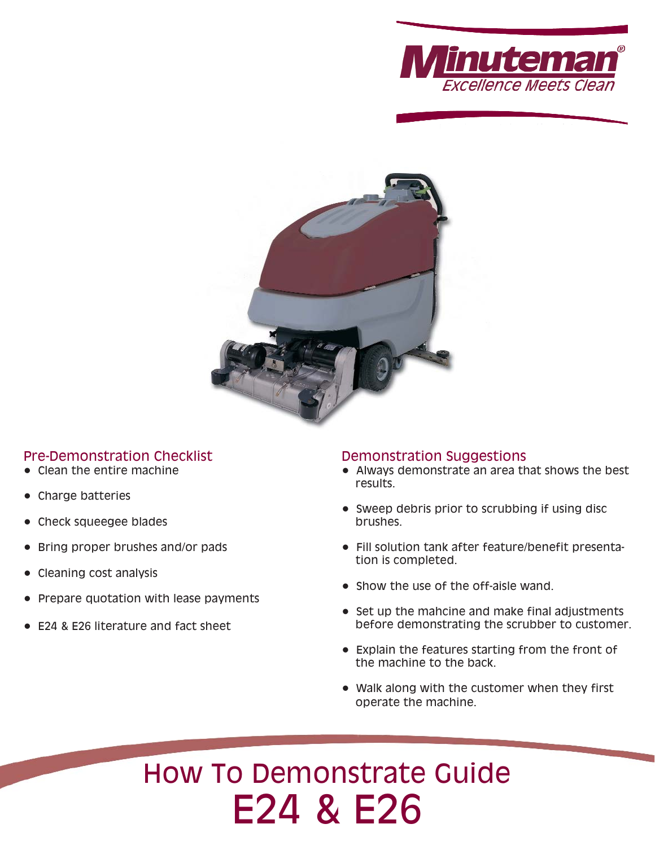



### Pre-Demonstration Checklist

- Clean the entire machine
- Charge batteries
- Check squeegee blades
- Bring proper brushes and/or pads
- Cleaning cost analysis
- Prepare quotation with lease payments
- E24 & E26 literature and fact sheet

### Demonstration Suggestions

- Always demonstrate an area that shows the best results.
- Sweep debris prior to scrubbing if using disc brushes.
- Fill solution tank after feature/benefit presentation is completed.
- Show the use of the off-aisle wand.
- Set up the mahcine and make final adjustments before demonstrating the scrubber to customer.
- Explain the features starting from the front of the machine to the back.
- Walk along with the customer when they first operate the machine.

How To Demonstrate Guide E24 & E26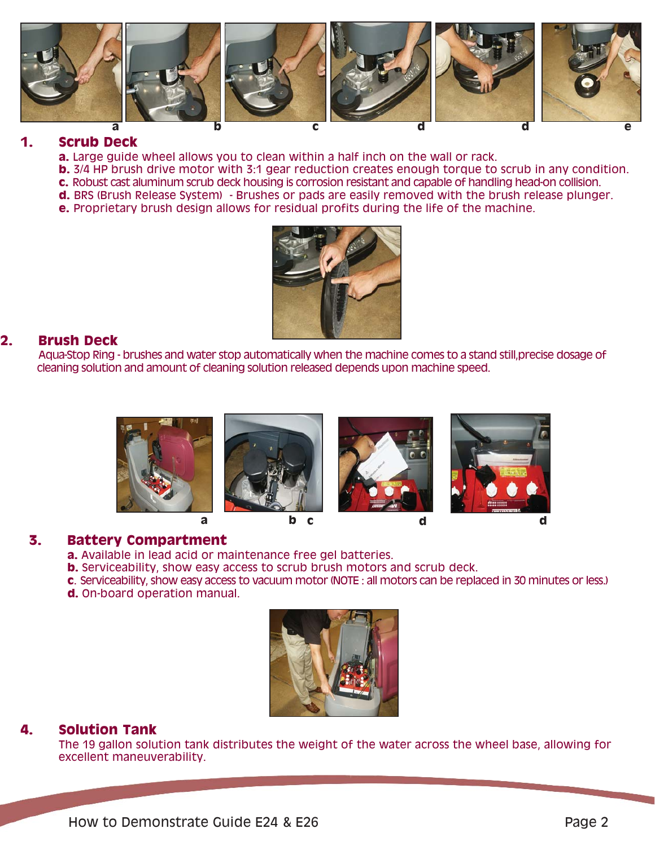

#### **1. Scrub Deck**

- **a.** Large guide wheel allows you to clean within a half inch on the wall or rack.
- **b.** 3/4 HP brush drive motor with 3:1 gear reduction creates enough torque to scrub in any condition.
- **c.** Robust cast aluminum scrub deck housing is corrosion resistant and capable of handling head-on collision.
- **d.** BRS (Brush Release System) Brushes or pads are easily removed with the brush release plunger.
- **e.** Proprietary brush design allows for residual profits during the life of the machine.



#### **2. Brush Deck**

Aqua-Stop Ring - brushes and water stop automatically when the machine comes to a stand still,precise dosage of cleaning solution and amount of cleaning solution released depends upon machine speed.



# **3. Battery Compartment**

- **a.** Available in lead acid or maintenance free gel batteries.
- **b.** Serviceability, show easy access to scrub brush motors and scrub deck.
- **c**. Serviceability, show easy access to vacuum motor (NOTE : all motors can be replaced in 30 minutes or less.)
- **d.** On-board operation manual.



#### **4. Solution Tank**

The 19 gallon solution tank distributes the weight of the water across the wheel base, allowing for excellent maneuverability.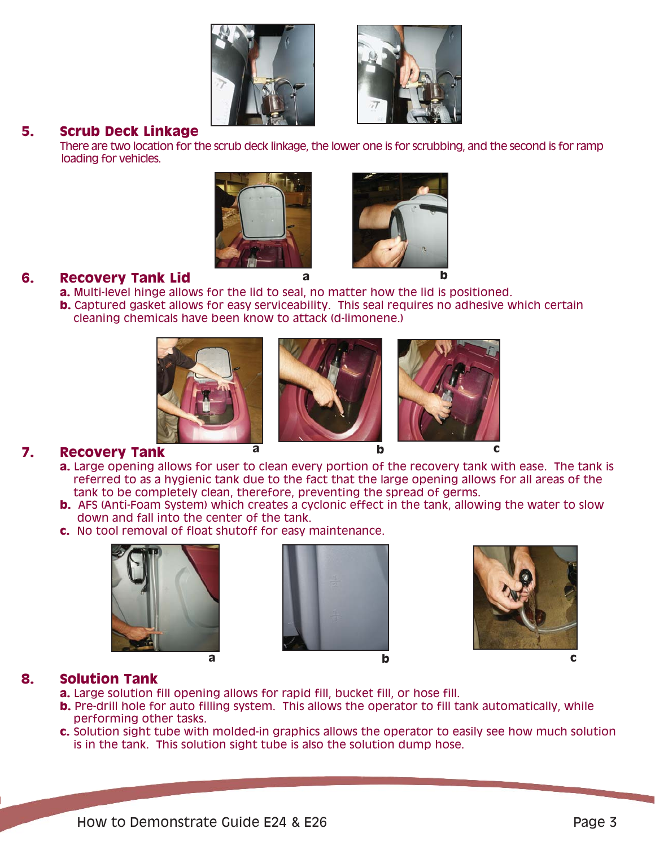



### **5. Scrub Deck Linkage**

There are two location for the scrub deck linkage, the lower one is for scrubbing, and the second is for ramp loading for vehicles.





### **6. Recovery Tank Lid**

**a.** Multi-level hinge allows for the lid to seal, no matter how the lid is positioned.

**b.** Captured gasket allows for easy serviceability. This seal requires no adhesive which certain cleaning chemicals have been know to attack (d-limonene.)







## **7. Recovery Tank**

- **a.** Large opening allows for user to clean every portion of the recovery tank with ease. The tank is referred to as a hygienic tank due to the fact that the large opening allows for all areas of the tank to be completely clean, therefore, preventing the spread of germs.
- **b.** AFS (Anti-Foam System) which creates a cyclonic effect in the tank, allowing the water to slow down and fall into the center of the tank.
- **c.** No tool removal of float shutoff for easy maintenance.









## **8. Solution Tank**

- **a.** Large solution fill opening allows for rapid fill, bucket fill, or hose fill.
- **b.** Pre-drill hole for auto filling system. This allows the operator to fill tank automatically, while performing other tasks.
- **c.** Solution sight tube with molded-in graphics allows the operator to easily see how much solution is in the tank. This solution sight tube is also the solution dump hose.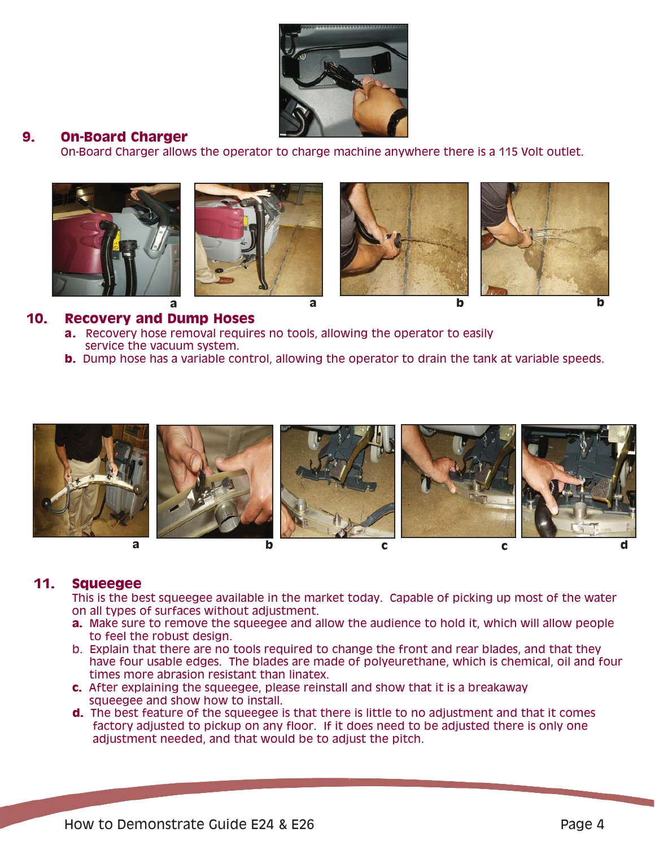

### **9. On-Board Charger**

On-Board Charger allows the operator to charge machine anywhere there is a 115 Volt outlet.









#### **10. Recovery and Dump Hoses**

- **a.** Recovery hose removal requires no tools, allowing the operator to easily service the vacuum system.
- **b.** Dump hose has a variable control, allowing the operator to drain the tank at variable speeds.



#### **11. Squeegee**

This is the best squeegee available in the market today. Capable of picking up most of the water on all types of surfaces without adjustment.

- **a.** Make sure to remove the squeegee and allow the audience to hold it, which will allow people to feel the robust design.
- b. Explain that there are no tools required to change the front and rear blades, and that they have four usable edges. The blades are made of polyeurethane, which is chemical, oil and four times more abrasion resistant than linatex.
- **c.** After explaining the squeegee, please reinstall and show that it is a breakaway squeegee and show how to install.
- **d.** The best feature of the squeegee is that there is little to no adjustment and that it comes factory adjusted to pickup on any floor. If it does need to be adjusted there is only one adjustment needed, and that would be to adjust the pitch.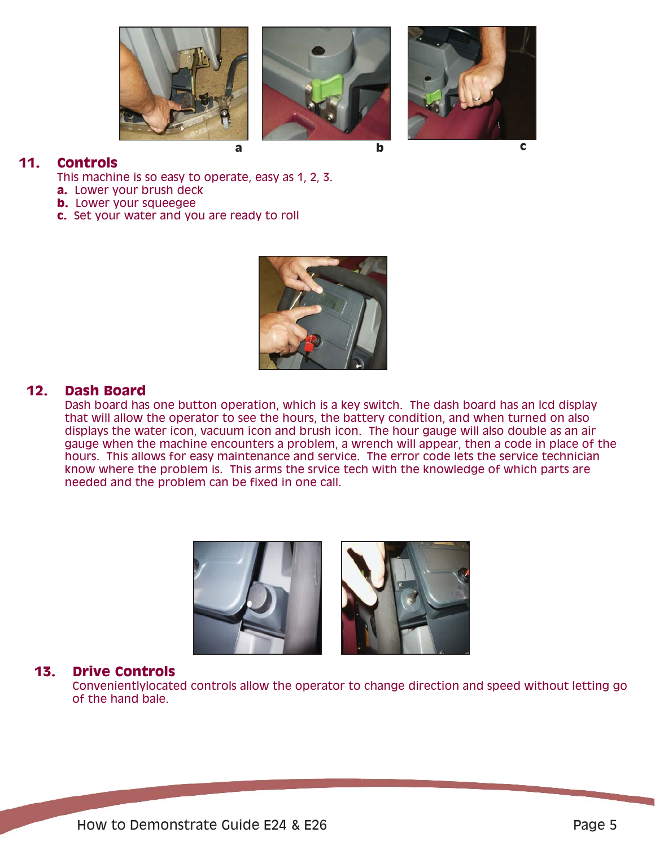





### **11. Controls**

This machine is so easy to operate, easy as 1, 2, 3.

- **a.** Lower your brush deck
- **b.** Lower your squeegee
- **c.** Set your water and you are ready to roll



### **12. Dash Board**

Dash board has one button operation, which is a key switch. The dash board has an lcd display that will allow the operator to see the hours, the battery condition, and when turned on also displays the water icon, vacuum icon and brush icon. The hour gauge will also double as an air gauge when the machine encounters a problem, a wrench will appear, then a code in place of the hours. This allows for easy maintenance and service. The error code lets the service technician know where the problem is. This arms the srvice tech with the knowledge of which parts are needed and the problem can be fixed in one call.



### **13. Drive Controls**

Convenientlylocated controls allow the operator to change direction and speed without letting go of the hand bale.